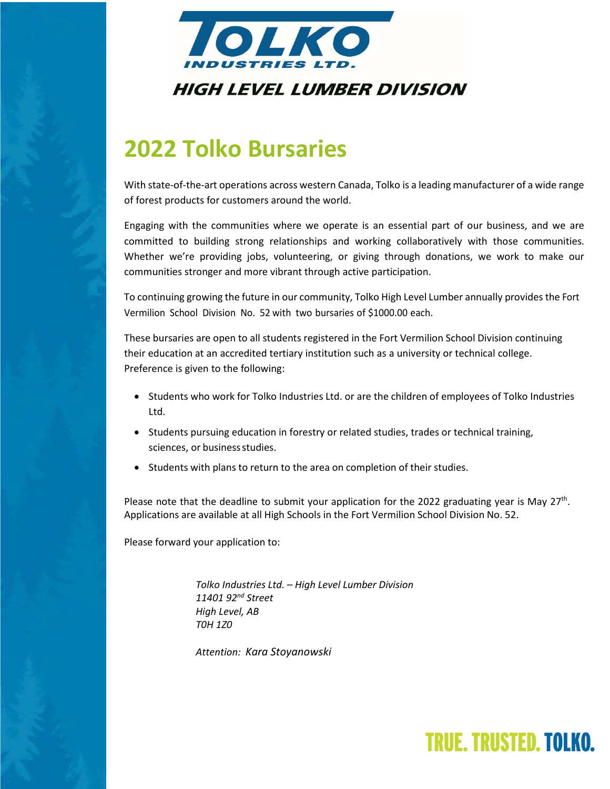

## **2022 Tolko Bursaries**

With state-of-the-art operations across western Canada, Tolko is a leading manufacturer of a wide range of forest products for customers around the world.

Engaging with the communities where we operate is an essential part of our business, and we are committed to building strong relationships and working collaboratively with those communities. Whether we're providing jobs, volunteering, or giving through donations, we work to make our communities stronger and more vibrant through active participation.

To continuing growing the future in our community, Tolko High Level Lumber annually provides the Fort Vermilion School Division No. 52 with two bursaries of \$1000.00 each.

These bursaries are open to all students registered in the Fort Vermilion School Division continuing their education at an accredited tertiary institution such as a university or technical college. Preference is given to the following:

- Students who work for Tolko Industries Ltd. or are the children of employees of Tolko Industries Ltd.
- Students pursuing education in forestry or related studies, trades or technical training, sciences, or business studies.
- Students with plans to return to the area on completion of their studies.

Please note that the deadline to submit your application for the 2022 graduating year is May  $27<sup>th</sup>$ . Applications are available at all High Schools in the Fort Vermilion School Division No. 52.

Please forward your application to:

*Tolko Industries Ltd. – High Level Lumber Division 11401 92nd Street High Level, AB T0H 1Z0*

*Attention: Kara Stoyanowski*

## **TRUE, TRUSTED, TOLKO.**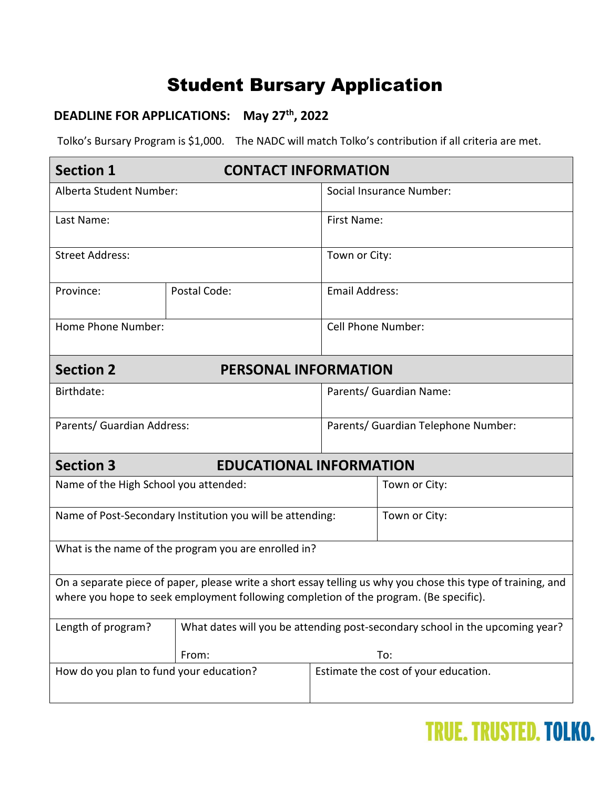#### Student Bursary Application

#### **DEADLINE FOR APPLICATIONS: May 27th, 2022**

Tolko's Bursary Program is \$1,000. The NADC will match Tolko's contribution if all criteria are met.

| <b>Section 1</b>                                                                                                                                                                                      | <b>CONTACT INFORMATION</b>                                                   |                                     |                                      |  |
|-------------------------------------------------------------------------------------------------------------------------------------------------------------------------------------------------------|------------------------------------------------------------------------------|-------------------------------------|--------------------------------------|--|
| Alberta Student Number:                                                                                                                                                                               |                                                                              | Social Insurance Number:            |                                      |  |
| Last Name:                                                                                                                                                                                            |                                                                              | First Name:                         |                                      |  |
| <b>Street Address:</b>                                                                                                                                                                                |                                                                              | Town or City:                       |                                      |  |
| Province:                                                                                                                                                                                             | Postal Code:                                                                 | <b>Email Address:</b>               |                                      |  |
| Home Phone Number:                                                                                                                                                                                    |                                                                              | <b>Cell Phone Number:</b>           |                                      |  |
| <b>Section 2</b><br><b>PERSONAL INFORMATION</b>                                                                                                                                                       |                                                                              |                                     |                                      |  |
| Birthdate:                                                                                                                                                                                            |                                                                              | Parents/ Guardian Name:             |                                      |  |
| Parents/ Guardian Address:                                                                                                                                                                            |                                                                              | Parents/ Guardian Telephone Number: |                                      |  |
| <b>Section 3</b><br><b>EDUCATIONAL INFORMATION</b>                                                                                                                                                    |                                                                              |                                     |                                      |  |
| Name of the High School you attended:                                                                                                                                                                 |                                                                              |                                     | Town or City:                        |  |
| Name of Post-Secondary Institution you will be attending:                                                                                                                                             |                                                                              |                                     | Town or City:                        |  |
| What is the name of the program you are enrolled in?                                                                                                                                                  |                                                                              |                                     |                                      |  |
| On a separate piece of paper, please write a short essay telling us why you chose this type of training, and<br>where you hope to seek employment following completion of the program. (Be specific). |                                                                              |                                     |                                      |  |
| Length of program?                                                                                                                                                                                    | What dates will you be attending post-secondary school in the upcoming year? |                                     |                                      |  |
|                                                                                                                                                                                                       | From:                                                                        | To:                                 |                                      |  |
| How do you plan to fund your education?                                                                                                                                                               |                                                                              |                                     | Estimate the cost of your education. |  |

## **TRUE. TRUSTED. TOLKO.**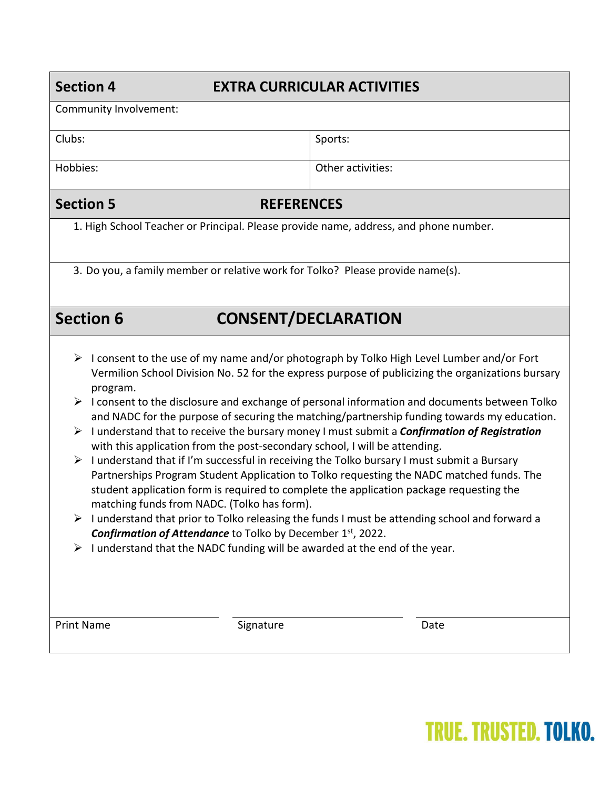#### **Section 4 EXTRA CURRICULAR ACTIVITIES**

| Community Involvement:                                                                                                                                                                                                                                                                                                                                                                                                                                                                                                                                                                                                                                                                                                                                                                                                                                                                                                                                                                                                                                                                                                                                                                                                                                         |                   |  |  |
|----------------------------------------------------------------------------------------------------------------------------------------------------------------------------------------------------------------------------------------------------------------------------------------------------------------------------------------------------------------------------------------------------------------------------------------------------------------------------------------------------------------------------------------------------------------------------------------------------------------------------------------------------------------------------------------------------------------------------------------------------------------------------------------------------------------------------------------------------------------------------------------------------------------------------------------------------------------------------------------------------------------------------------------------------------------------------------------------------------------------------------------------------------------------------------------------------------------------------------------------------------------|-------------------|--|--|
| Clubs:                                                                                                                                                                                                                                                                                                                                                                                                                                                                                                                                                                                                                                                                                                                                                                                                                                                                                                                                                                                                                                                                                                                                                                                                                                                         | Sports:           |  |  |
| Hobbies:                                                                                                                                                                                                                                                                                                                                                                                                                                                                                                                                                                                                                                                                                                                                                                                                                                                                                                                                                                                                                                                                                                                                                                                                                                                       | Other activities: |  |  |
| <b>Section 5</b><br><b>REFERENCES</b>                                                                                                                                                                                                                                                                                                                                                                                                                                                                                                                                                                                                                                                                                                                                                                                                                                                                                                                                                                                                                                                                                                                                                                                                                          |                   |  |  |
| 1. High School Teacher or Principal. Please provide name, address, and phone number.                                                                                                                                                                                                                                                                                                                                                                                                                                                                                                                                                                                                                                                                                                                                                                                                                                                                                                                                                                                                                                                                                                                                                                           |                   |  |  |
| 3. Do you, a family member or relative work for Tolko? Please provide name(s).                                                                                                                                                                                                                                                                                                                                                                                                                                                                                                                                                                                                                                                                                                                                                                                                                                                                                                                                                                                                                                                                                                                                                                                 |                   |  |  |
| <b>Section 6</b><br><b>CONSENT/DECLARATION</b>                                                                                                                                                                                                                                                                                                                                                                                                                                                                                                                                                                                                                                                                                                                                                                                                                                                                                                                                                                                                                                                                                                                                                                                                                 |                   |  |  |
| I consent to the use of my name and/or photograph by Tolko High Level Lumber and/or Fort<br>➤<br>Vermilion School Division No. 52 for the express purpose of publicizing the organizations bursary<br>program.<br>$\triangleright$ I consent to the disclosure and exchange of personal information and documents between Tolko<br>and NADC for the purpose of securing the matching/partnership funding towards my education.<br>$\triangleright$ I understand that to receive the bursary money I must submit a <i>Confirmation of Registration</i><br>with this application from the post-secondary school, I will be attending.<br>$\triangleright$ I understand that if I'm successful in receiving the Tolko bursary I must submit a Bursary<br>Partnerships Program Student Application to Tolko requesting the NADC matched funds. The<br>student application form is required to complete the application package requesting the<br>matching funds from NADC. (Tolko has form).<br>I understand that prior to Tolko releasing the funds I must be attending school and forward a<br>➤<br><b>Confirmation of Attendance</b> to Tolko by December 1 <sup>st</sup> , 2022.<br>I understand that the NADC funding will be awarded at the end of the year. |                   |  |  |
| <b>Print Name</b><br>Signature                                                                                                                                                                                                                                                                                                                                                                                                                                                                                                                                                                                                                                                                                                                                                                                                                                                                                                                                                                                                                                                                                                                                                                                                                                 | Date              |  |  |

# **TRUE. TRUSTED. TOLKO.**